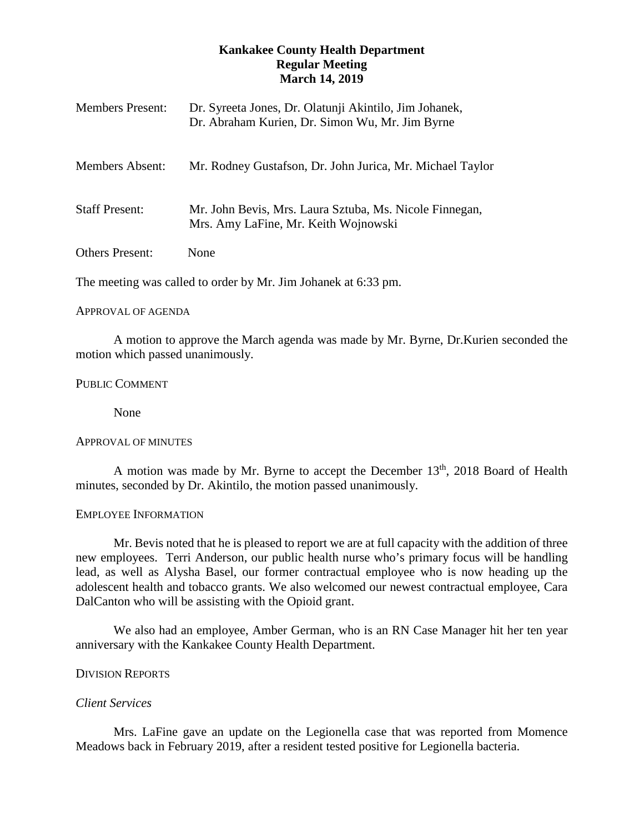# **Kankakee County Health Department Regular Meeting March 14, 2019**

| <b>Members Present:</b> | Dr. Syreeta Jones, Dr. Olatunji Akintilo, Jim Johanek,<br>Dr. Abraham Kurien, Dr. Simon Wu, Mr. Jim Byrne |
|-------------------------|-----------------------------------------------------------------------------------------------------------|
| <b>Members Absent:</b>  | Mr. Rodney Gustafson, Dr. John Jurica, Mr. Michael Taylor                                                 |
| <b>Staff Present:</b>   | Mr. John Bevis, Mrs. Laura Sztuba, Ms. Nicole Finnegan,<br>Mrs. Amy LaFine, Mr. Keith Wojnowski           |
| <b>Others Present:</b>  | None                                                                                                      |

The meeting was called to order by Mr. Jim Johanek at 6:33 pm.

## APPROVAL OF AGENDA

A motion to approve the March agenda was made by Mr. Byrne, Dr.Kurien seconded the motion which passed unanimously.

## PUBLIC COMMENT

None

# APPROVAL OF MINUTES

A motion was made by Mr. Byrne to accept the December  $13<sup>th</sup>$ , 2018 Board of Health minutes, seconded by Dr. Akintilo, the motion passed unanimously.

## EMPLOYEE INFORMATION

Mr. Bevis noted that he is pleased to report we are at full capacity with the addition of three new employees. Terri Anderson, our public health nurse who's primary focus will be handling lead, as well as Alysha Basel, our former contractual employee who is now heading up the adolescent health and tobacco grants. We also welcomed our newest contractual employee, Cara DalCanton who will be assisting with the Opioid grant.

We also had an employee, Amber German, who is an RN Case Manager hit her ten year anniversary with the Kankakee County Health Department.

# DIVISION REPORTS

# *Client Services*

Mrs. LaFine gave an update on the Legionella case that was reported from Momence Meadows back in February 2019, after a resident tested positive for Legionella bacteria.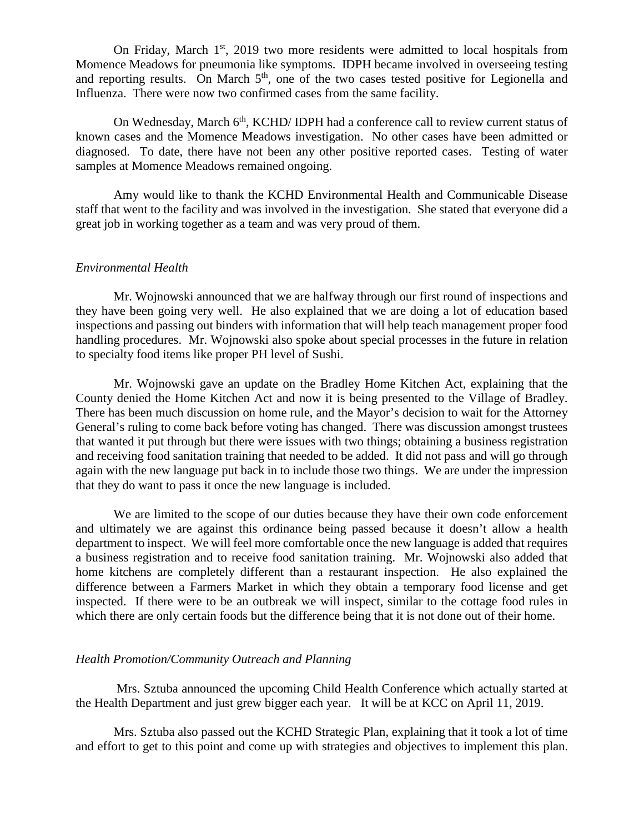On Friday, March  $1<sup>st</sup>$ , 2019 two more residents were admitted to local hospitals from Momence Meadows for pneumonia like symptoms. IDPH became involved in overseeing testing and reporting results. On March  $5<sup>th</sup>$ , one of the two cases tested positive for Legionella and Influenza. There were now two confirmed cases from the same facility.

On Wednesday, March 6<sup>th</sup>, KCHD/ IDPH had a conference call to review current status of known cases and the Momence Meadows investigation. No other cases have been admitted or diagnosed. To date, there have not been any other positive reported cases. Testing of water samples at Momence Meadows remained ongoing.

Amy would like to thank the KCHD Environmental Health and Communicable Disease staff that went to the facility and was involved in the investigation. She stated that everyone did a great job in working together as a team and was very proud of them.

#### *Environmental Health*

Mr. Wojnowski announced that we are halfway through our first round of inspections and they have been going very well. He also explained that we are doing a lot of education based inspections and passing out binders with information that will help teach management proper food handling procedures. Mr. Wojnowski also spoke about special processes in the future in relation to specialty food items like proper PH level of Sushi.

 Mr. Wojnowski gave an update on the Bradley Home Kitchen Act, explaining that the County denied the Home Kitchen Act and now it is being presented to the Village of Bradley. There has been much discussion on home rule, and the Mayor's decision to wait for the Attorney General's ruling to come back before voting has changed. There was discussion amongst trustees that wanted it put through but there were issues with two things; obtaining a business registration and receiving food sanitation training that needed to be added. It did not pass and will go through again with the new language put back in to include those two things. We are under the impression that they do want to pass it once the new language is included.

We are limited to the scope of our duties because they have their own code enforcement and ultimately we are against this ordinance being passed because it doesn't allow a health department to inspect. We will feel more comfortable once the new language is added that requires a business registration and to receive food sanitation training. Mr. Wojnowski also added that home kitchens are completely different than a restaurant inspection. He also explained the difference between a Farmers Market in which they obtain a temporary food license and get inspected. If there were to be an outbreak we will inspect, similar to the cottage food rules in which there are only certain foods but the difference being that it is not done out of their home.

## *Health Promotion/Community Outreach and Planning*

Mrs. Sztuba announced the upcoming Child Health Conference which actually started at the Health Department and just grew bigger each year. It will be at KCC on April 11, 2019.

Mrs. Sztuba also passed out the KCHD Strategic Plan, explaining that it took a lot of time and effort to get to this point and come up with strategies and objectives to implement this plan.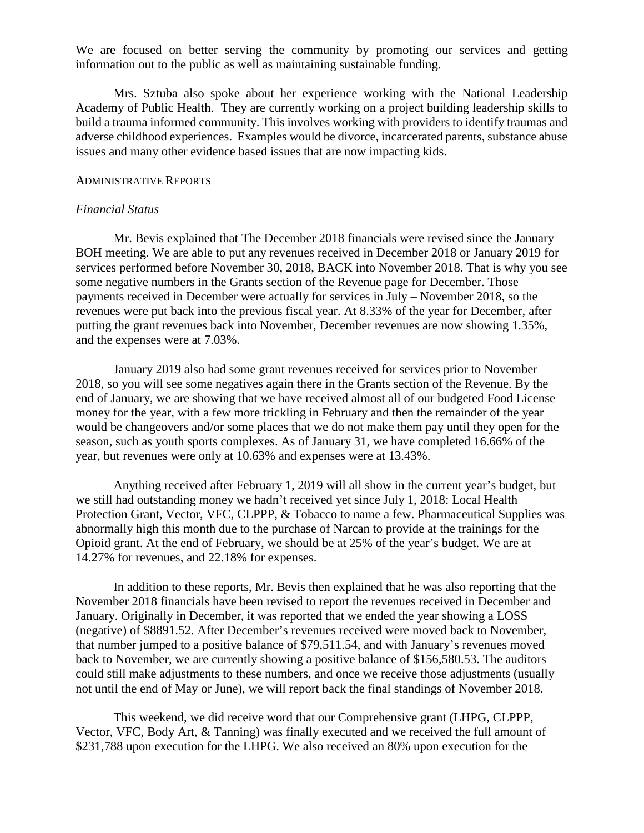We are focused on better serving the community by promoting our services and getting information out to the public as well as maintaining sustainable funding.

Mrs. Sztuba also spoke about her experience working with the National Leadership Academy of Public Health. They are currently working on a project building leadership skills to build a trauma informed community. This involves working with providers to identify traumas and adverse childhood experiences. Examples would be divorce, incarcerated parents, substance abuse issues and many other evidence based issues that are now impacting kids.

### ADMINISTRATIVE REPORTS

## *Financial Status*

Mr. Bevis explained that The December 2018 financials were revised since the January BOH meeting. We are able to put any revenues received in December 2018 or January 2019 for services performed before November 30, 2018, BACK into November 2018. That is why you see some negative numbers in the Grants section of the Revenue page for December. Those payments received in December were actually for services in July – November 2018, so the revenues were put back into the previous fiscal year. At 8.33% of the year for December, after putting the grant revenues back into November, December revenues are now showing 1.35%, and the expenses were at 7.03%.

January 2019 also had some grant revenues received for services prior to November 2018, so you will see some negatives again there in the Grants section of the Revenue. By the end of January, we are showing that we have received almost all of our budgeted Food License money for the year, with a few more trickling in February and then the remainder of the year would be changeovers and/or some places that we do not make them pay until they open for the season, such as youth sports complexes. As of January 31, we have completed 16.66% of the year, but revenues were only at 10.63% and expenses were at 13.43%.

Anything received after February 1, 2019 will all show in the current year's budget, but we still had outstanding money we hadn't received yet since July 1, 2018: Local Health Protection Grant, Vector, VFC, CLPPP, & Tobacco to name a few. Pharmaceutical Supplies was abnormally high this month due to the purchase of Narcan to provide at the trainings for the Opioid grant. At the end of February, we should be at 25% of the year's budget. We are at 14.27% for revenues, and 22.18% for expenses.

In addition to these reports, Mr. Bevis then explained that he was also reporting that the November 2018 financials have been revised to report the revenues received in December and January. Originally in December, it was reported that we ended the year showing a LOSS (negative) of \$8891.52. After December's revenues received were moved back to November, that number jumped to a positive balance of \$79,511.54, and with January's revenues moved back to November, we are currently showing a positive balance of \$156,580.53. The auditors could still make adjustments to these numbers, and once we receive those adjustments (usually not until the end of May or June), we will report back the final standings of November 2018.

This weekend, we did receive word that our Comprehensive grant (LHPG, CLPPP, Vector, VFC, Body Art, & Tanning) was finally executed and we received the full amount of \$231,788 upon execution for the LHPG. We also received an 80% upon execution for the